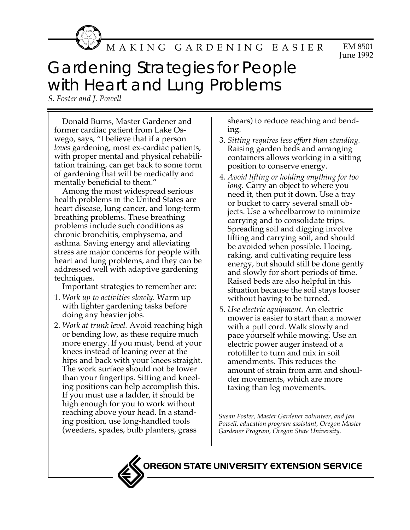

EM 8501 June 1992 MAKING GARDENING EASIER

## Gardening Strategies for People with Heart and Lung Problems

*S. Foster and J. Powell*

Donald Burns, Master Gardener and former cardiac patient from Lake Oswego, says, "I believe that if a person *loves* gardening, most ex-cardiac patients, with proper mental and physical rehabilitation training, can get back to some form of gardening that will be medically and mentally beneficial to them."

Among the most widespread serious health problems in the United States are heart disease, lung cancer, and long-term breathing problems. These breathing problems include such conditions as chronic bronchitis, emphysema, and asthma. Saving energy and alleviating stress are major concerns for people with heart and lung problems, and they can be addressed well with adaptive gardening techniques.

Important strategies to remember are:

- 1. *Work up to activities slowly.* Warm up with lighter gardening tasks before doing any heavier jobs.
- 2. *Work at trunk level.* Avoid reaching high or bending low, as these require much more energy. If you must, bend at your knees instead of leaning over at the hips and back with your knees straight. The work surface should not be lower than your fingertips. Sitting and kneeling positions can help accomplish this. If you must use a ladder, it should be high enough for you to work without reaching above your head. In a standing position, use long-handled tools (weeders, spades, bulb planters, grass

shears) to reduce reaching and bending.

- 3. *Sitting requires less effort than standing.* Raising garden beds and arranging containers allows working in a sitting position to conserve energy.
- 4. *Avoid lifting or holding anything for too long.* Carry an object to where you need it, then put it down. Use a tray or bucket to carry several small objects. Use a wheelbarrow to minimize carrying and to consolidate trips. Spreading soil and digging involve lifting and carrying soil, and should be avoided when possible. Hoeing, raking, and cultivating require less energy, but should still be done gently and slowly for short periods of time. Raised beds are also helpful in this situation because the soil stays looser without having to be turned.
- 5. *Use electric equipment.* An electric mower is easier to start than a mower with a pull cord. Walk slowly and pace yourself while mowing. Use an electric power auger instead of a rototiller to turn and mix in soil amendments. This reduces the amount of strain from arm and shoulder movements, which are more taxing than leg movements.

*Susan Foster, Master Gardener volunteer, and Jan Powell, education program assistant, Oregon Master Gardener Program, Oregon State University.*